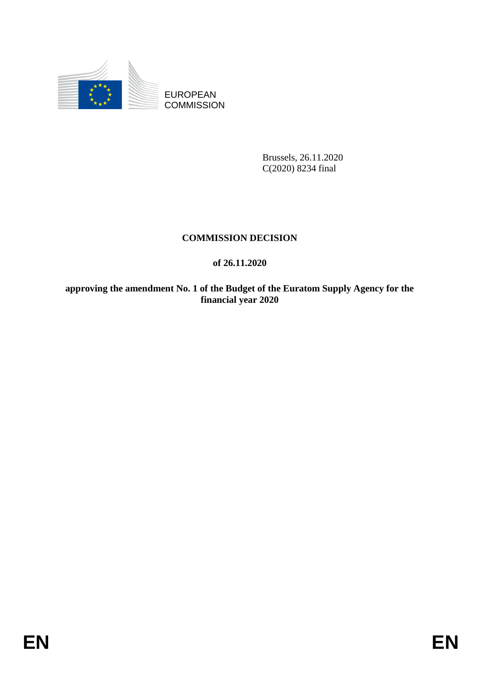

EUROPEAN **COMMISSION** 

> Brussels, 26.11.2020 C(2020) 8234 final

### **COMMISSION DECISION**

### **of 26.11.2020**

**approving the amendment No. 1 of the Budget of the Euratom Supply Agency for the financial year 2020**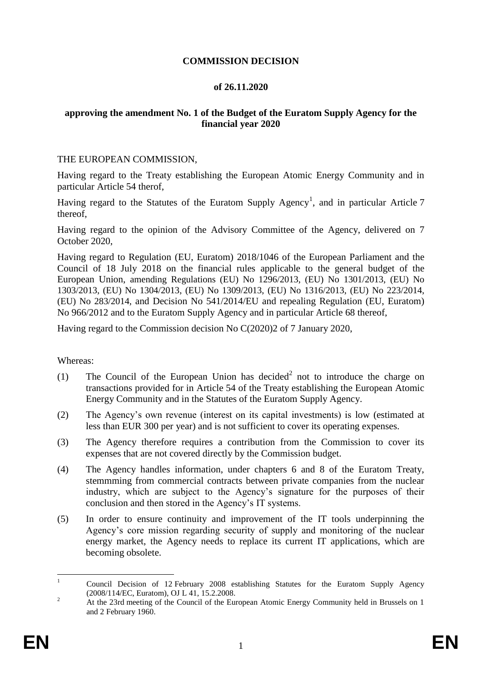#### **COMMISSION DECISION**

#### **of 26.11.2020**

#### **approving the amendment No. 1 of the Budget of the Euratom Supply Agency for the financial year 2020**

#### THE EUROPEAN COMMISSION,

Having regard to the Treaty establishing the European Atomic Energy Community and in particular Article 54 therof,

Having regard to the Statutes of the Euratom Supply Agency<sup>1</sup>, and in particular Article 7 thereof,

Having regard to the opinion of the Advisory Committee of the Agency, delivered on 7 October 2020,

Having regard to Regulation (EU, Euratom) 2018/1046 of the European Parliament and the Council of 18 July 2018 on the financial rules applicable to the general budget of the European Union, amending Regulations (EU) No 1296/2013, (EU) No 1301/2013, (EU) No 1303/2013, (EU) No 1304/2013, (EU) No 1309/2013, (EU) No 1316/2013, (EU) No 223/2014, (EU) No 283/2014, and Decision No 541/2014/EU and repealing Regulation (EU, Euratom) No 966/2012 and to the Euratom Supply Agency and in particular Article 68 thereof,

Having regard to the Commission decision No C(2020)2 of 7 January 2020,

#### Whereas:

- (1) The Council of the European Union has decided<sup>2</sup> not to introduce the charge on transactions provided for in Article 54 of the Treaty establishing the European Atomic Energy Community and in the Statutes of the Euratom Supply Agency.
- (2) The Agency's own revenue (interest on its capital investments) is low (estimated at less than EUR 300 per year) and is not sufficient to cover its operating expenses.
- (3) The Agency therefore requires a contribution from the Commission to cover its expenses that are not covered directly by the Commission budget.
- (4) The Agency handles information, under chapters 6 and 8 of the Euratom Treaty, stemmming from commercial contracts between private companies from the nuclear industry, which are subject to the Agency's signature for the purposes of their conclusion and then stored in the Agency's IT systems.
- (5) In order to ensure continuity and improvement of the IT tools underpinning the Agency's core mission regarding security of supply and monitoring of the nuclear energy market, the Agency needs to replace its current IT applications, which are becoming obsolete.

 $\mathbf{1}$ <sup>1</sup> Council Decision of 12 February 2008 establishing Statutes for the Euratom Supply Agency (2008/114/EC, Euratom), OJ L 41, 15.2.2008.

<sup>&</sup>lt;sup>2</sup> At the 23rd meeting of the Council of the European Atomic Energy Community held in Brussels on 1 and 2 February 1960.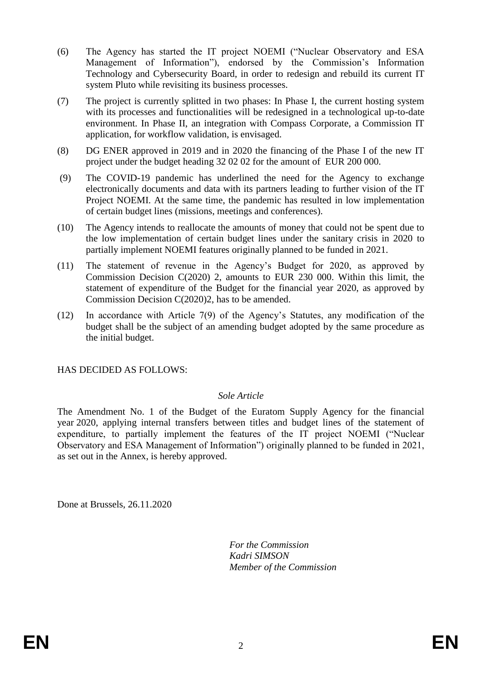- (6) The Agency has started the IT project NOEMI ("Nuclear Observatory and ESA Management of Information"), endorsed by the Commission's Information Technology and Cybersecurity Board, in order to redesign and rebuild its current IT system Pluto while revisiting its business processes.
- (7) The project is currently splitted in two phases: In Phase I, the current hosting system with its processes and functionalities will be redesigned in a technological up-to-date environment. In Phase II, an integration with Compass Corporate, a Commission IT application, for workflow validation, is envisaged.
- (8) DG ENER approved in 2019 and in 2020 the financing of the Phase I of the new IT project under the budget heading 32 02 02 for the amount of EUR 200 000.
- (9) The COVID-19 pandemic has underlined the need for the Agency to exchange electronically documents and data with its partners leading to further vision of the IT Project NOEMI. At the same time, the pandemic has resulted in low implementation of certain budget lines (missions, meetings and conferences).
- (10) The Agency intends to reallocate the amounts of money that could not be spent due to the low implementation of certain budget lines under the sanitary crisis in 2020 to partially implement NOEMI features originally planned to be funded in 2021.
- (11) The statement of revenue in the Agency's Budget for 2020, as approved by Commission Decision C(2020) 2, amounts to EUR 230 000. Within this limit, the statement of expenditure of the Budget for the financial year 2020, as approved by Commission Decision C(2020)2, has to be amended.
- (12) In accordance with Article 7(9) of the Agency's Statutes, any modification of the budget shall be the subject of an amending budget adopted by the same procedure as the initial budget.

#### HAS DECIDED AS FOLLOWS:

#### *Sole Article*

The Amendment No. 1 of the Budget of the Euratom Supply Agency for the financial year 2020, applying internal transfers between titles and budget lines of the statement of expenditure, to partially implement the features of the IT project NOEMI ("Nuclear Observatory and ESA Management of Information") originally planned to be funded in 2021, as set out in the Annex, is hereby approved.

Done at Brussels, 26.11.2020

*For the Commission Kadri SIMSON Member of the Commission*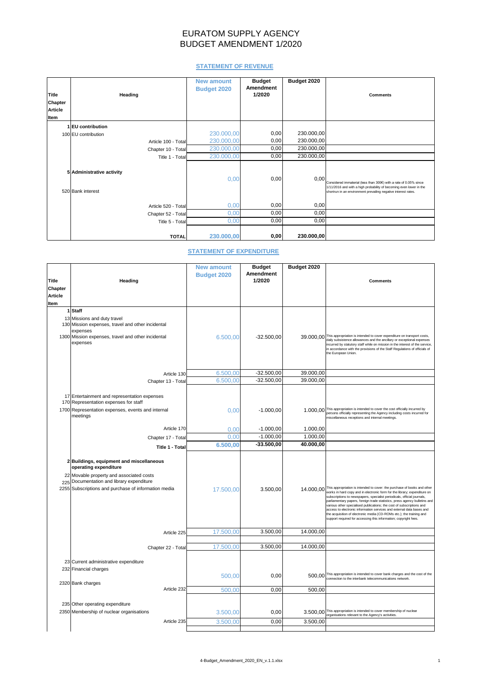# EURATOM SUPPLY AGENCY BUDGET AMENDMENT 1/2020

## **STATEMENT OF REVENUE**

| <b>Title</b><br><b>Chapter</b><br><b>Article</b><br>Item | <b>Heading</b>                                 | <b>New amount</b><br><b>Budget 2020</b> | <b>Budget</b><br><b>Amendment</b><br>1/2020 | Budget 2020 | <b>Comments</b>                                                                                                                                                                                            |
|----------------------------------------------------------|------------------------------------------------|-----------------------------------------|---------------------------------------------|-------------|------------------------------------------------------------------------------------------------------------------------------------------------------------------------------------------------------------|
|                                                          |                                                |                                         |                                             |             |                                                                                                                                                                                                            |
|                                                          | 1 EU contribution                              |                                         |                                             |             |                                                                                                                                                                                                            |
|                                                          | 100 EU contribution                            | 230.000,00                              | 0,00                                        | 230.000,00  |                                                                                                                                                                                                            |
|                                                          | Article 100 - Total                            | 230.000,00                              | 0,00                                        | 230.000,00  |                                                                                                                                                                                                            |
|                                                          | Chapter 10 - Total                             | 230.000,00                              | 0,00                                        | 230.000,00  |                                                                                                                                                                                                            |
|                                                          | Title 1 - Total                                | 230.000,00                              | 0,00                                        | 230.000,00  |                                                                                                                                                                                                            |
|                                                          | 5 Administrative activity<br>520 Bank interest | 0,00                                    | 0,00                                        | 0,00        | Considered immaterial (less than 300€) with a rate of 0.05% since<br>1/11/2016 and with a high probability of becoming even lower in the<br>shortrun in an environment prevailing negative interest rates. |
|                                                          | Article 520 - Total                            | 0,00                                    | 0,00                                        | 0,00        |                                                                                                                                                                                                            |
|                                                          | Chapter 52 - Total                             | 0,00                                    | 0,00                                        | 0,00        |                                                                                                                                                                                                            |
|                                                          | Title 5 - Total                                | 0,00                                    | 0,00                                        | 0,00        |                                                                                                                                                                                                            |
|                                                          | <b>TOTAL</b>                                   | 230.000,00                              | 0,00                                        | 230.000,00  |                                                                                                                                                                                                            |

### **STATEMENT OF EXPENDITURE**

|                |                                                                | <b>New amount</b>  | <b>Budget</b>    | Budget 2020 |                                                                                                                                                                 |
|----------------|----------------------------------------------------------------|--------------------|------------------|-------------|-----------------------------------------------------------------------------------------------------------------------------------------------------------------|
|                |                                                                | <b>Budget 2020</b> | <b>Amendment</b> |             |                                                                                                                                                                 |
| <b>Title</b>   | Heading                                                        |                    | 1/2020           |             | <b>Comments</b>                                                                                                                                                 |
| <b>Chapter</b> |                                                                |                    |                  |             |                                                                                                                                                                 |
| <b>Article</b> |                                                                |                    |                  |             |                                                                                                                                                                 |
| Item           |                                                                |                    |                  |             |                                                                                                                                                                 |
|                | $1$ Staff                                                      |                    |                  |             |                                                                                                                                                                 |
|                | 13 Missions and duty travel                                    |                    |                  |             |                                                                                                                                                                 |
|                | 130 Mission expenses, travel and other incidental              |                    |                  |             |                                                                                                                                                                 |
|                | expenses<br>1300 Mission expenses, travel and other incidental | 6.500,00           | $-32.500,00$     |             | 39.000,00 This appropriation is intended to cover expenditure on transport costs,                                                                               |
|                | expenses                                                       |                    |                  |             | daily subsistence allowances and the ancillary or exceptional expenses<br>incurred by statutory staff while on mission in the interest of the service,          |
|                |                                                                |                    |                  |             | in accordance with the provisions of the Staff Regulations of officials of<br>the European Union.                                                               |
|                |                                                                |                    |                  |             |                                                                                                                                                                 |
|                |                                                                |                    |                  |             |                                                                                                                                                                 |
|                | Article 130                                                    | 6.500,00           | $-32.500,00$     | 39.000,00   |                                                                                                                                                                 |
|                | Chapter 13 - Total                                             | 6.500,00           | $-32.500,00$     | 39.000,00   |                                                                                                                                                                 |
|                |                                                                |                    |                  |             |                                                                                                                                                                 |
|                | 17 Entertainment and representation expenses                   |                    |                  |             |                                                                                                                                                                 |
|                | 170 Representation expenses for staff                          |                    |                  |             |                                                                                                                                                                 |
|                | 1700 Representation expenses, events and internal<br>meetings  | 0,00               | $-1.000,00$      |             | 1.000,00 This appropriation is intended to cover the cost officially incurred by<br>persons officially representing the Agency including costs incurred for     |
|                |                                                                |                    |                  |             | miscellaneous receptions and internal meetings.                                                                                                                 |
|                | Article 170                                                    | 0,00               | $-1.000,00$      | 1.000,00    |                                                                                                                                                                 |
|                | Chapter 17 - Total                                             | 0,00               | $-1.000,00$      | 1.000,00    |                                                                                                                                                                 |
|                | Title 1 - Total                                                | 6.500,00           | $-33.500,00$     | 40.000,00   |                                                                                                                                                                 |
|                |                                                                |                    |                  |             |                                                                                                                                                                 |
|                | 2 Buildings, equipment and miscellaneous                       |                    |                  |             |                                                                                                                                                                 |
|                | operating expenditure                                          |                    |                  |             |                                                                                                                                                                 |
|                | 22 Movable property and associated costs                       |                    |                  |             |                                                                                                                                                                 |
|                | 225 Documentation and library expenditure                      |                    |                  |             |                                                                                                                                                                 |
|                | 2255 Subscriptions and purchase of information media           | 17.500,00          | 3.500,00         |             | 14.000,00 This appropriation is intended to cover: the purchase of books and other<br>works in hard copy and in electronic form for the library; expenditure on |
|                |                                                                |                    |                  |             | subscriptions to newspapers, specialist periodicals, official journals,<br>parliamentary papers, foreign trade statistics, press agency bulletins and           |
|                |                                                                |                    |                  |             | various other specialised publications; the cost of subscriptions and<br>access to electronic information services and external data bases and                  |
|                |                                                                |                    |                  |             | the acquisition of electronic media (CD-ROMs etc.); the training and                                                                                            |
|                |                                                                |                    |                  |             | support required for accessing this information; copyright fees.                                                                                                |
|                | Article 225                                                    | 17.500,00          | 3.500,00         | 14.000,00   |                                                                                                                                                                 |
|                |                                                                |                    |                  |             |                                                                                                                                                                 |
|                | Chapter 22 - Total                                             | 17.500,00          | 3.500,00         | 14.000,00   |                                                                                                                                                                 |
|                |                                                                |                    |                  |             |                                                                                                                                                                 |
|                | 23 Current administrative expenditure                          |                    |                  |             |                                                                                                                                                                 |
|                | 232 Financial charges                                          |                    |                  |             |                                                                                                                                                                 |
|                |                                                                | 500,00             | 0,00             |             | 500,00 This appropriation is intended to cover bank charges and the cost of the<br>connection to the interbank telecommunications network.                      |
|                | 2320 Bank charges                                              |                    |                  |             |                                                                                                                                                                 |
|                | Article 232                                                    | 500,00             | 0,00             | 500,00      |                                                                                                                                                                 |
|                | 235 Other operating expenditure                                |                    |                  |             |                                                                                                                                                                 |
|                | 2350 Membership of nuclear organisations                       |                    |                  |             | 3.500,00 This appropriation is intended to cover membership of nuclear                                                                                          |
|                |                                                                | 3.500,00           | 0,00             |             | organisations relevant to the Agency's activities.                                                                                                              |
|                | Article 235                                                    | 3.500,00           | 0,00             | 3.500,00    |                                                                                                                                                                 |
|                |                                                                |                    |                  |             |                                                                                                                                                                 |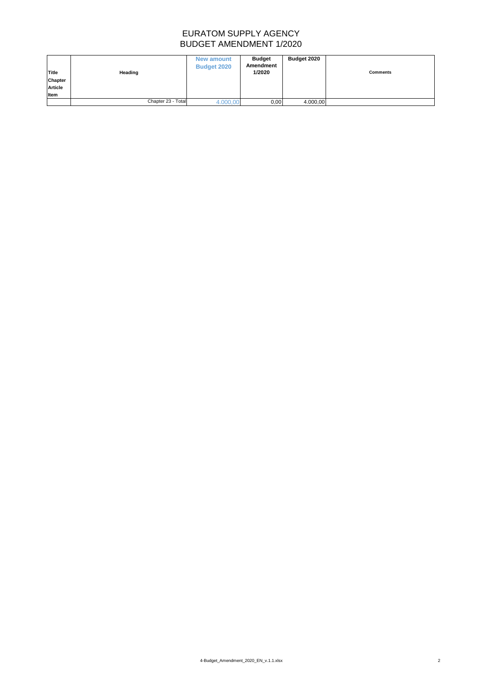# EURATOM SUPPLY AGENCY BUDGET AMENDMENT 1/2020

| <b>Title</b><br><b>Chapter</b><br><b>Article</b><br>Item | <b>Heading</b>     | <b>New amount</b><br><b>Budget 2020</b> | <b>Budget</b><br><b>Amendment</b><br>1/2020 | <b>Budget 2020</b> | <b>Comments</b> |
|----------------------------------------------------------|--------------------|-----------------------------------------|---------------------------------------------|--------------------|-----------------|
|                                                          | Chapter 23 - Total | 4.000,00                                | 0,00                                        | 4.000,00           |                 |